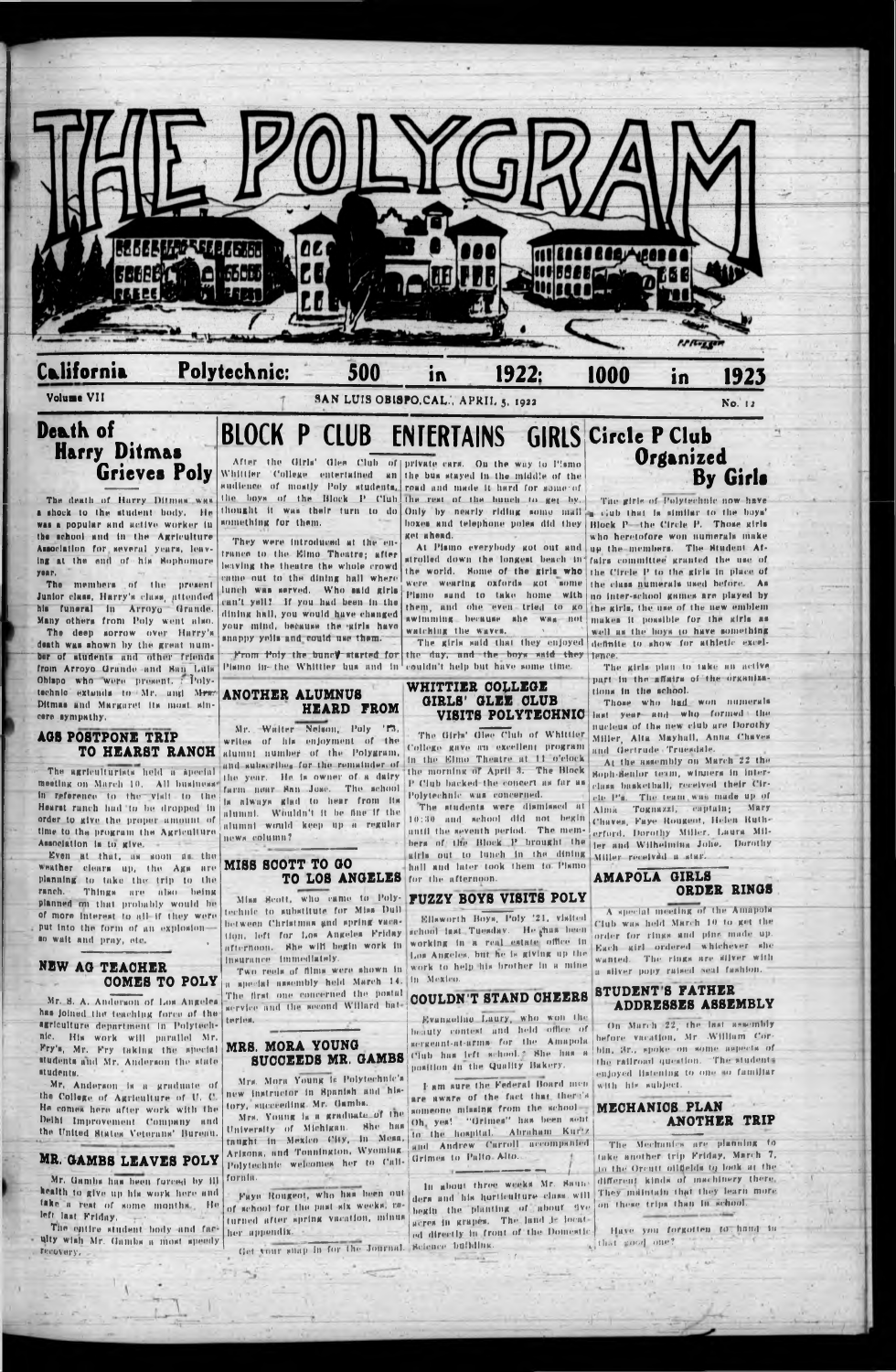

The death of Harry Ditman was a shock to the student body. He was a popular and active worker in something for them. the school and in the Agriculture Association for several years, leaving at the end of his Sophomore **YORT.** 

The members of the present Junior class, Harry's class, attended his funeral in Arroyo Grande. Many others from Poly went also.

The deep sorrow over Harry's death was shown by the great number of students and other friends from Arroyo Grande and San Luis Obispo who were present, a Polytechnic extends to Mr. and Mrs. Ditmas and Margaret its most sincere sympathy.

#### **AGS POSTPONE TRIP** TO HEARST RANCH

The agriculturists held a special meeting on March 10. All business in reference to the visit to the Hearst ranch had to be dropped in order to give the proper amount of time to the program the Agriculture Association is to give.

Even at that, as soon as the weather clears up, the Ags are planning to take the trip to the ranch. Things are also being planned on that probably would be of more interest to all if they were put into the form of an explosionso wait and pray, etc.

**NEW AG TEACHER** 

## They were introduced at the entrance to the Elmo Theatre; after leaving the theatre the whole crowd

came out to the dining hall where lunch was served. Who said girls can't yell? If you had been in the dining hall, you would have changed your mind, because the strls have snappy yells and could use them.

### **ANOTHER ALUMNUS** HEARD FROM

Mr. Walter Nehon, Poly '13, writes of his enjoyment of the alumnt number of the Polygram, and subscribes for the remainder of the year. He is owner of a dairy farm noar San Jose. The school is always glad to hear from its alumni. Wouldn't it be fine if the alumni would keep up a regular news column?

### MISS SCOTT TO GO TO LOS ANGELES for the afternoon.

Miss Scott, who came to Poly- PUZZY BOYS VISITS POLY technic to substitute for Miss Dull between Christmas and spring vacation, left for Los Angeles Friday afternoon. She will begin work in insurance immediately.

COMES TO POLY a special assembly held March 14. In Mexico.

MRS. MORA YOUNG

tory, succeeding Mr. Gambs.

Fays Rougeot, who has been out

of school for the past six weeks, m-

turned after spring vacation, minus

terles.

fornia.

her appendix.

thought it was their turn to do Only by nearly riding some mail a club that is similar to the boys' get ahead.

awimming because she was not watching the waves.

From Poly the buney started for the day, and the boys said they jance. Plamo in the Whittier hus and in couldn't help but have some time.

#### WHITTIER COLLEGE GIRLS' GLEE CLUB VISITS POLYTECHNIC

The Girls' Glee Club of Whittler College gave an excellent program in the Elmo Theatre at 11 o'clock the morning of April 3. The Block P Club backed the concert as far as Polytechnic was concerned.

The students were dismissed at 10:30 and school did not begin until the seventh period. The memhers of the Block P brought the airls out to lunch in the dining hall and later took them to Plamo

Ellsworth Boys, Poly '21, visited school last Tuesday. He chas been working in a real estate office in Los Angeles, but he is giving up the Two reels of films were shown in work to help his brother in a mine

**STUDENT'S FATHER** The first one concerned the postal COULDN'T STAND CHEERS service and the second Willard bate

The girls of Polytechnic now have boxes and telephone poles did they Block P-the Circle P. Those girls who heretofore won numerals make At Pismo everybody got out and up the members. The Student Afstrolled down the longest beach in fairs committee granted the use of the world. Some of the girls who the Circle P to the girls in place of were wearing oxfords got some the class numerals used before. As Plamo sand to take home with no inter-school games are played by them, and one even tried to go the girls, the use of the new emblem makes it possible for the girls as well as the hoys to have something The girls said that they enjoyed definite to show for athletic excel-

> The girls plan to take an active part in the affairs of the organizations in the school.

> Those who had won numerals last year and who formed the nucleus of the new club are Dorothy Miller, Alta Mayhall, Anna Chaves and Gertrude Truesdale.

At the assembly on March 22 the Soph-Senlor team, winners in interclass basketball, received their Circle P's. The team, was made up of Alma Tognazzi, captain; Mary Chaves, Faye Rougent, Helen Rutherford, Dorothy Miller, Laura Miller and Wilhelmina Johe. Dorothy Miller received a star.

### AMAPOLA GIRLS ORDER RINGS

A special meeting of the Amapola Club was held March 10 to get the order for rings and pins made up. Each girl ordered whichever she wanted. The rings are silver with a silver popy raised seal fashion.

Mr. S. A. Anderson of Los Angeles has joined the teaching force of the agriculture department in Polytechnic. His work will parallel Mr. Fry's, Mr. Fry taking the special students and Mr. Anderson the state students.

Mr. Anderson is a graduate of the College of Agriculture of U. C. He comes here after work with the Deihi Improvement Company and the United States Veterans' Bureau.

### MR. GAMBS LEAVES POLY

Mr. Gamba has been forced by ill health to give up his work here and take a reat of some months. He left last Friday.

The cuttre student body and faculty wish Mr. Gambs a most speedy Tecovery,

Evangeline Laury, who won the beauty contest and held office of sergeant-at-arms for the Amapola SUCCEEDS MR. GAMBS Club has left school.2 She has a position 4n the Quality Bakery.

Mrs. Mora Young is Polytechnic's I am sure the Federal Board men new instructor in Spanish and hisare aware of the fact that there's someone missing from the school-Mrs. Young is a graduate of the Oh, yes! "Grimes" has been sont University of Michigan. She has<br>taught in Mexico City, in Mesa, to the hospital. Abraham Kurtz and Andrew Carroll accompanied Arizona, and Tounington, Wyoming. Grimes to Palto Alto. Polytechnic welcomes her to Cali-

In about three weeks Mr. Saunders and his horticulture class, will begin the planting of about ave acres in grapes. The land le located directly in front of the Domestic Get your shap in for the Journal. Science building.

#### ADDRESSES ASSEMBLY

On March 22, the last assembly hefore vacation, Mr. William Corbin, Sr., spoke on some aspects of the railroad question. The students enjoyed listening to one so familiar with his subject.

### MECHANIOS PLAN **ANOTHER TRIP**

The Mechanics are planning to take another trip Friday, March 7. in the Orcutt oilfields to look at the different kinds of machinery there, They maintain that they learn more on these trips than in school.

Have you forgotten to hand in of that sood one?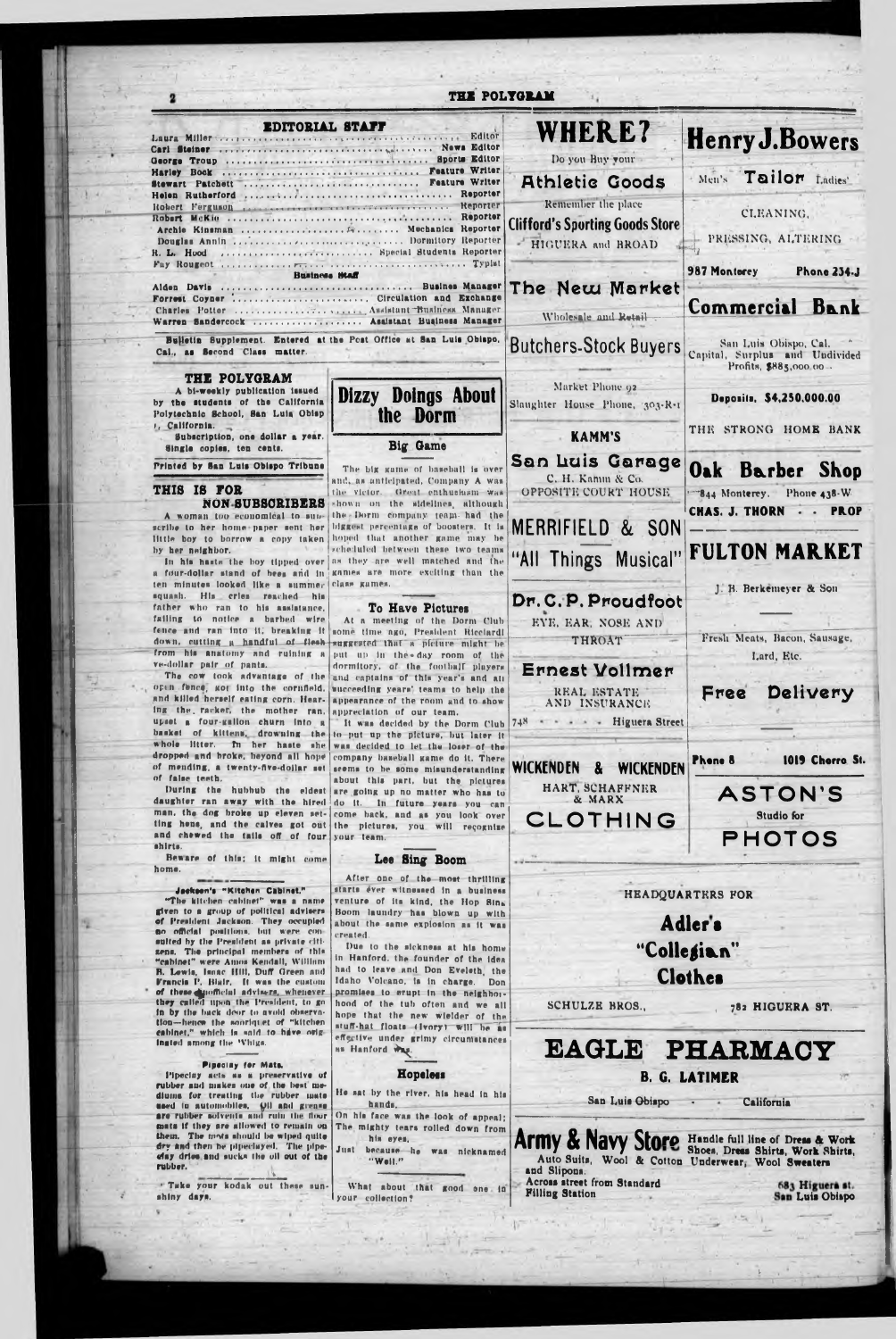| THE POLYGRAM                                                                                                                 |                                                                            |                                                             |                                                                                   |  |
|------------------------------------------------------------------------------------------------------------------------------|----------------------------------------------------------------------------|-------------------------------------------------------------|-----------------------------------------------------------------------------------|--|
| <b>EDITORIAL STAFF</b><br>Laura Miller Communications of Communications of California Editor                                 |                                                                            | <b>WHERE?</b>                                               | <b>Henry J. Bowers</b>                                                            |  |
|                                                                                                                              |                                                                            | Do you Buy vour                                             |                                                                                   |  |
| Stewart Patchett                                                                                                             | <b>Feature Writer</b>                                                      | <b>Athletic Goods</b>                                       | Men's Tailor Ladies'                                                              |  |
| Robert Ferguson reserved there will electricity of the contract of                                                           | Reporter                                                                   | Remember the place                                          | CLEANING,                                                                         |  |
| Archie Kinsman  Mechanics Reporter                                                                                           |                                                                            | <b>Clifford's Sporting Goods Store</b><br>HIGUERA and BROAD | PRESSING, ALTERING                                                                |  |
| R. L. Hood  Special Students Reporter                                                                                        |                                                                            |                                                             | 987 Monterey<br><b>Phone 234.J</b>                                                |  |
| Business Staff                                                                                                               |                                                                            | The New Market                                              |                                                                                   |  |
| Forrest Coyner  Circulation and Exchange<br>Warren Sandercock  Asaistant Buainess Manager                                    |                                                                            | Wholesale and Retail                                        | Commercial Bank                                                                   |  |
| Cal., as Second Class matter.                                                                                                | Bulletin Supplement. Entered at the Post Office at San Luis Obispo.        | <b>Butchers-Stock Buyers</b>                                | San Luis Obispo, Cal.<br>Capital, Surplus and Undivided<br>Profits, \$885,000 00. |  |
| THE POLYGRAM<br>A bi-weekly publication issued<br>by the students of the California<br>Polytechnic School, San Luis Obisp    | Dizzy Doings About<br>the Dorm                                             | Market Phone 92<br>Slaughter House Phone, 303-R-1           | Deposits, \$4,250,000.00                                                          |  |
| 1, California.<br>Subscription, one dollar a year.<br>Single copies, ten cents.                                              | Big Game                                                                   | <b>KAMM'S</b>                                               | THE STRONG HOME BANK                                                              |  |
| Printed by San Luis Obispo Tribune                                                                                           | The big game of baseball is over<br>and, as anticipated, Company A was     | San Luis Garage<br>C. H. Kamin & Co.                        | Oak Barber<br><b>Shop</b>                                                         |  |
| THIS IS FOR<br><b>NON SUBSCRIBERS</b>                                                                                        | the victor. Great enthushiam was<br>shown on the sidelines, although       | OPPOSITE COURT HOUSE                                        | 844 Monterey. Phone 438-W                                                         |  |
| A woman too economical to sub-<br>scribe to her home-paper sent her biggest percentage of boosters. It is                    | the Dorm company team had the                                              | MERRIFIELD & SON                                            | <b>CHAS. J. THORN</b><br><b>PROP</b>                                              |  |
| little boy to borrow a copy taken hoped that another game may be<br>by her neighbor.                                         | reheduled between these two teams                                          |                                                             |                                                                                   |  |
| In his hasts the boy tipped over<br>a four-dollar stand of bees and in                                                       | as they are well matched and the<br>games are more exciting than the       | "All Things Musical"                                        | <b>FULTON MARKET</b>                                                              |  |
| ten minutes looked like a summer<br>squash. His cries reached his                                                            | class games.                                                               |                                                             | J. B. Berkemeyer & Son                                                            |  |
| father who ran to his assistance.<br>failing to notice a barbed wire                                                         | To Have Pictures                                                           | Dr. C. P. Proudfoot                                         |                                                                                   |  |
| fence and ran into it; breaking it                                                                                           | At a meeting of the Dorm Club<br>some time ago, President Ricciardi        | EYE, EAR, NOSE AND                                          | Fresh Meats, Bacon, Sausage,                                                      |  |
| down, cutting a handful of flesh suggested that a picture might be<br>from his anatomy and ruining a                         | put up in the day room of the                                              | <b>THROAT</b>                                               | Lard, Etc.                                                                        |  |
| ve-dollar pair of pants.<br>The cow took advantage of the                                                                    | dormitory, of the football players                                         | Ernest Vollmer                                              |                                                                                   |  |
| open fence, got into the cornfield.                                                                                          | and captains of this year's and all<br>succeeding years' teams to help the | REAL ESTATE                                                 | Delivery<br>Free                                                                  |  |
| and killed herself eating corn. Hear-<br>ing the racket, the mother ran.                                                     | appearance of the room and to show<br>appreciation of our team.            | AND INSURANCE                                               |                                                                                   |  |
| upset a four-gallon churn into a                                                                                             | It was decided by the Dorm Club                                            | - - - - Higuera Street<br>748                               |                                                                                   |  |
| basket of kittens, drowning the<br>whole litter. In her haste she was decided to let the loser of the                        | to put up the picture, but later it                                        |                                                             |                                                                                   |  |
| dropped and broke, heyond all hope company baseball game do it. There<br>of mending, a twenty-five-dollar set                |                                                                            | <b>WICKENDEN</b><br><b>WICKENDEN</b><br>$\mathbf{a}$        | 1019 Chorro St.<br>Phene 8                                                        |  |
| of false teeth.                                                                                                              | seems to be some misunderstanding<br>about this part, but the pictures     |                                                             |                                                                                   |  |
| daughter ran away with the hired do it. In future years you can                                                              | During the hubbub the eldest are going up no matter who has to             | HART, SCHAFFNER<br>& MARX                                   | <b>ASTON'S</b>                                                                    |  |
| man, the dog broke up eleven set- come back, and as you look over                                                            |                                                                            | CLOTHING                                                    | <b>Studio for</b>                                                                 |  |
| ting hens, and the calves got out the pictures, you will recognize<br>and chewed the tails off of four your team.<br>shirts. |                                                                            |                                                             | <b>PHOTOS</b>                                                                     |  |
| Beware of this; it might come<br>home.                                                                                       | Lee Sing Boom                                                              |                                                             |                                                                                   |  |
| Jackson's "Kitchen Cabinet."                                                                                                 | After one of the most thrilling<br>starts êver witnessed in a business     |                                                             |                                                                                   |  |
| "The kitchen cabinet" was a name                                                                                             | venture of its kind, the Hop Sina                                          |                                                             | HEADQUARTERS FOR<br>Adler's                                                       |  |
| given to a group of political advisers<br>of President Jackson. They occupied                                                | Boom laundry has blown up with<br>about the same explosion as it was       |                                                             |                                                                                   |  |
| no official positions, but were con-<br>suited by the President as private citi-                                             | created.                                                                   |                                                             |                                                                                   |  |
| zens. The principal members of this<br>"cabinet" were Amos Kendall, William                                                  | Due to the sickness at his home<br>in Hanford, the founder of the idea     |                                                             | "Collegian"                                                                       |  |
|                                                                                                                              | had to leave and Don Evaluation                                            |                                                             |                                                                                   |  |

n, Lewis, Isaac Itili, Duit Green and  $\sim$ rm' rme **Clothes** Idaho Volcano, is in charge. Don Francis P. Blair. It was the custom of these mofficial advisers, whenever they called upon the President, to go promises to erupt in the neighborhood of the tub often and we all SCHULZE BROS., 782 HIGUERA ST. In by the back deor to avoid observa-<br>tion--hence the sooriquet of "kitchen hope that the new wielder of the stuff-hat floats (Ivory) will be as cabinet," which is said to have origeffective under grimy circumstances Ingted among the 'Vhiga. **EAGLE** PHARMACY as Hanford Way. Pipeciny for Mats. **Hopeless** Pipeciny acts as a preservative of **B. G. LATIMER** rubber and makes one of the best me-He sat by the river, his head in his diums for treating the rubber mate San Luis Obispo - California used in automobiles. Oil and grease hands. On his face was the look of appeal; The mighty tears rolled down from mats if they are allowed to remain on Army & Navy Store Handle full line of Dress & Work Auto Suits, Wool & Cotton Underwear, Wool Sweaters them. The moss should be wiped quite his eyes. dry and then he pipeclayed. The pipe-Just because he was nicknamed clay drive and sucks the oil out of the "Well." rubber. and Slipons. Across street from Standard " Take your kodak out these sun-683 Higuera st. What about that good one in **Filling Station** San Luis Obispo shiny days.

 $\cdots$ 

 $9 - 7 - 1 - 1$ 

151

lyour collection?

ş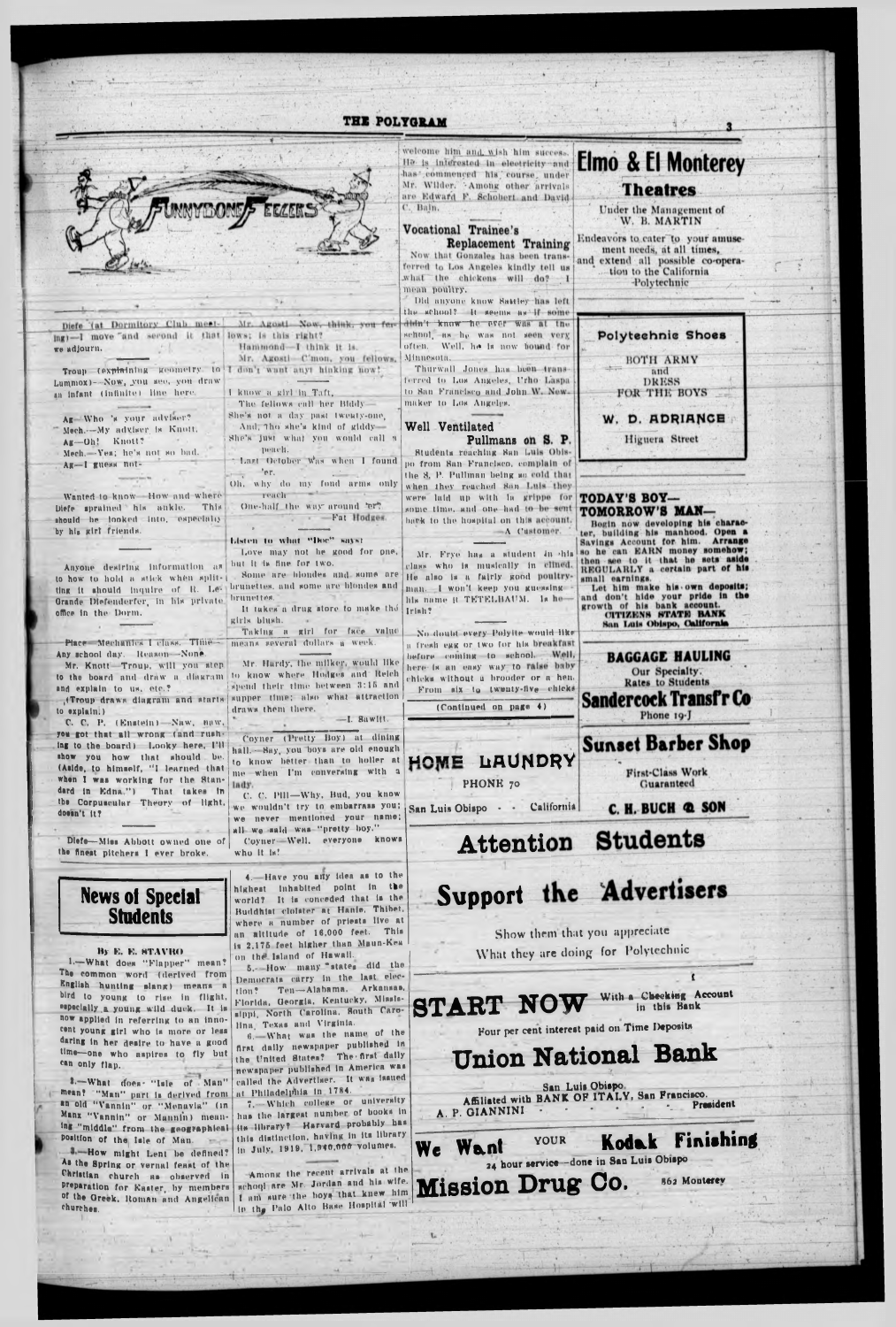

#### By E. E. STAVRO

1.-What does "Flapper" mean? The common word (derived from English hunting slang) means a bird to young to rise in flight. especially a voung wild duck. It is now applied in referring to an innocent young girl who is more or less daring in her desire to have a good time-one who aspires to fly but can only flap.

2.-What does- "Isle of Man" mean? "Man" part is derived from an old "Vannin" or "Menavia" (in Manx "Vannin" or Mannin) meaning "middle" from the geographical position of the lale of Man. 4. How might Lent be defined? As the Spring or vernal feast of the Christian church as observed in preparation for Easter, by members of the Greek, Roman and Angelican churches.

on the Island of Hawall. 5.- How many states did the Democrats carry in the last elec-Ten-Alabama. Arkansas.  $110n?$ Florida, Georgia, Kentucky, Missis-**START NOW** sippi, North Carolina, South Carolina. Texas and Virginia. 6. What was the name of the

first daily newspaper published in the United States? The first daily newspaper published in America was called the Advertiser. It was issued

at Philadelphia in 1784. 7. Which college or university has the largest number of books in its library? Harvard probably has this distinction, having in its library in July, 1919, 1,940,000 volumes.

Among the recent arrivals at the school are Mr. Jordan and his wife. I am sure the hoys that knew him in the Palo Alto Base Hospital will

What they are doing for Polytechnic

With a Checking Account in this Bank

Four per cent interest paid on Time Deposits

# **Union National Bank**

San Luis Obispo. Affiliated with BANK OF ITALY, San Francisco. President A. P. GIANNINI

#### Finishing YOUR Kodak Want 24 hour service-done in San Luis Obispo

**Mission Drug Co. 862 Monterey**